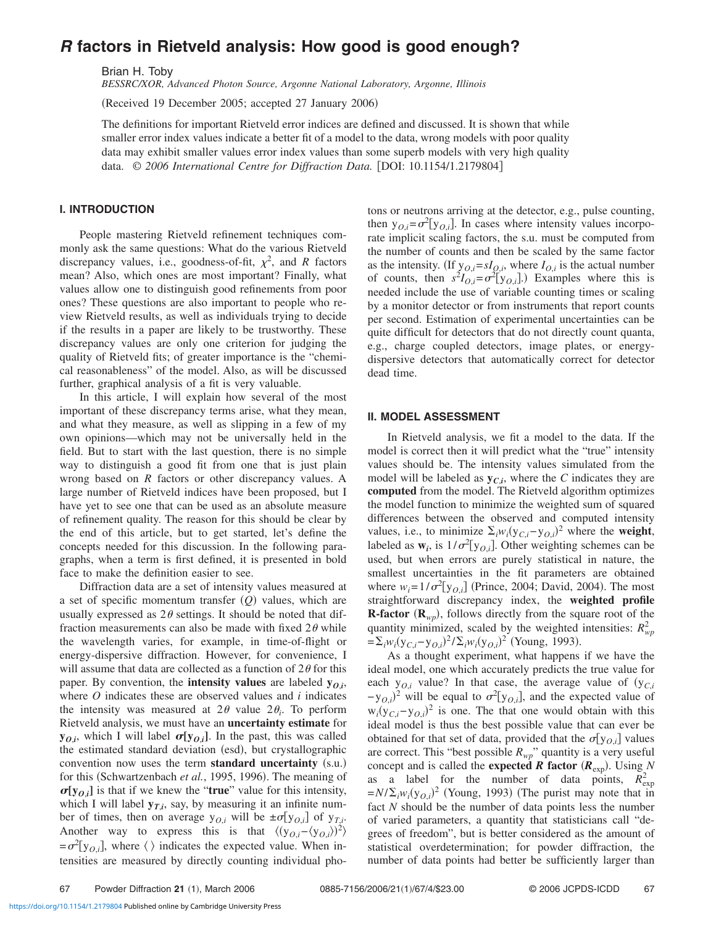# *R* **factors in Rietveld analysis: How good is good enough?**

Brian H. Toby

*BESSRC/XOR, Advanced Photon Source, Argonne National Laboratory, Argonne, Illinois*

(Received 19 December 2005; accepted 27 January 2006)

The definitions for important Rietveld error indices are defined and discussed. It is shown that while smaller error index values indicate a better fit of a model to the data, wrong models with poor quality data may exhibit smaller values error index values than some superb models with very high quality data. © 2006 International Centre for Diffraction Data. [DOI: 10.1154/1.2179804]

# **I. INTRODUCTION**

People mastering Rietveld refinement techniques commonly ask the same questions: What do the various Rietveld discrepancy values, i.e., goodness-of-fit,  $\chi^2$ , and *R* factors mean? Also, which ones are most important? Finally, what values allow one to distinguish good refinements from poor ones? These questions are also important to people who review Rietveld results, as well as individuals trying to decide if the results in a paper are likely to be trustworthy. These discrepancy values are only one criterion for judging the quality of Rietveld fits; of greater importance is the "chemical reasonableness" of the model. Also, as will be discussed further, graphical analysis of a fit is very valuable.

In this article, I will explain how several of the most important of these discrepancy terms arise, what they mean, and what they measure, as well as slipping in a few of my own opinions—which may not be universally held in the field. But to start with the last question, there is no simple way to distinguish a good fit from one that is just plain wrong based on *R* factors or other discrepancy values. A large number of Rietveld indices have been proposed, but I have yet to see one that can be used as an absolute measure of refinement quality. The reason for this should be clear by the end of this article, but to get started, let's define the concepts needed for this discussion. In the following paragraphs, when a term is first defined, it is presented in bold face to make the definition easier to see.

Diffraction data are a set of intensity values measured at a set of specific momentum transfer  $(Q)$  values, which are usually expressed as  $2\theta$  settings. It should be noted that diffraction measurements can also be made with fixed  $2\theta$  while the wavelength varies, for example, in time-of-flight or energy-dispersive diffraction. However, for convenience, I will assume that data are collected as a function of  $2\theta$  for this paper. By convention, the **intensity values** are labeled  $y_{O,i}$ , where *O* indicates these are observed values and *i* indicates the intensity was measured at  $2\theta$  value  $2\theta_i$ . To perform Rietveld analysis, we must have an **uncertainty estimate** for **y**<sub>*O*,*i*</sub>, which I will label  $\sigma[y_{O,i}]$ . In the past, this was called the estimated standard deviation (esd), but crystallographic convention now uses the term standard uncertainty (s.u.) for this (Schwartzenbach et al., 1995, 1996). The meaning of  $\sigma[y_{O,i}]$  is that if we knew the "**true**" value for this intensity, which I will label  $y_{T,i}$ , say, by measuring it an infinite number of times, then on average  $y_{O,i}$  will be  $\pm \sigma[y_{O,i}]$  of  $y_{T,i}$ . Another way to express this is that  $\langle (y_{O,i} - \langle y_{O,i} \rangle)^2 \rangle$  $=\sigma^2[y_{O,i}]$ , where  $\langle \rangle$  indicates the expected value. When intensities are measured by directly counting individual pho-

tons or neutrons arriving at the detector, e.g., pulse counting, then  $y_{O,i} = \sigma^2[y_{O,i}]$ . In cases where intensity values incorporate implicit scaling factors, the s.u. must be computed from the number of counts and then be scaled by the same factor as the intensity. (If  $y_{O,i} = sI_{O,i}$ , where  $I_{O,i}$  is the actual number of counts, then  $s^2 I_{O,i} = \sigma^2 [y_{O,i}]$ .) Examples where this is needed include the use of variable counting times or scaling by a monitor detector or from instruments that report counts per second. Estimation of experimental uncertainties can be quite difficult for detectors that do not directly count quanta, e.g., charge coupled detectors, image plates, or energydispersive detectors that automatically correct for detector dead time.

#### **II. MODEL ASSESSMENT**

In Rietveld analysis, we fit a model to the data. If the model is correct then it will predict what the "true" intensity values should be. The intensity values simulated from the model will be labeled as  $y_{C,i}$ , where the *C* indicates they are **computed** from the model. The Rietveld algorithm optimizes the model function to minimize the weighted sum of squared differences between the observed and computed intensity values, i.e., to minimize  $\sum_i w_i (y_{C,i} - y_{O,i})^2$  where the **weight**, labeled as  $w_i$ , is  $1/\sigma^2[y_{0,i}]$ . Other weighting schemes can be used, but when errors are purely statistical in nature, the smallest uncertainties in the fit parameters are obtained where  $w_i = 1/\sigma^2[y_{O,i}]$  (Prince, 2004; David, 2004). The most straightforward discrepancy index, the **weighted profile R-factor**  $(\mathbf{R}_{wp})$ , follows directly from the square root of the quantity minimized, scaled by the weighted intensities:  $R_{wp}^2$  $=\sum_{i} w_i (y_{C,i} - y_{O,i})^2 / \sum_{i} w_i (y_{O,i})^2$  (Young, 1993).

As a thought experiment, what happens if we have the ideal model, one which accurately predicts the true value for each  $y_{0i}$  value? In that case, the average value of  $(y_{Ci}$  $-y_{O,i}$ <sup>2</sup> will be equal to  $\sigma^2[y_{O,i}]$ , and the expected value of  $w_i(y_{C,i} - y_{O,i})^2$  is one. The that one would obtain with this ideal model is thus the best possible value that can ever be obtained for that set of data, provided that the  $\sigma[y_{O,i}]$  values are correct. This "best possible  $R_{wp}$ " quantity is a very useful concept and is called the **expected** *R* **factor**  $(R_{exp})$ . Using *N* as a label for the number of data points,  $\overline{R}_{\text{exp}}^2$  $=N/\sum_i w_i(y_{O,i})^2$  (Young, 1993) (The purist may note that in fact *N* should be the number of data points less the number of varied parameters, a quantity that statisticians call "degrees of freedom", but is better considered as the amount of statistical overdetermination; for powder diffraction, the number of data points had better be sufficiently larger than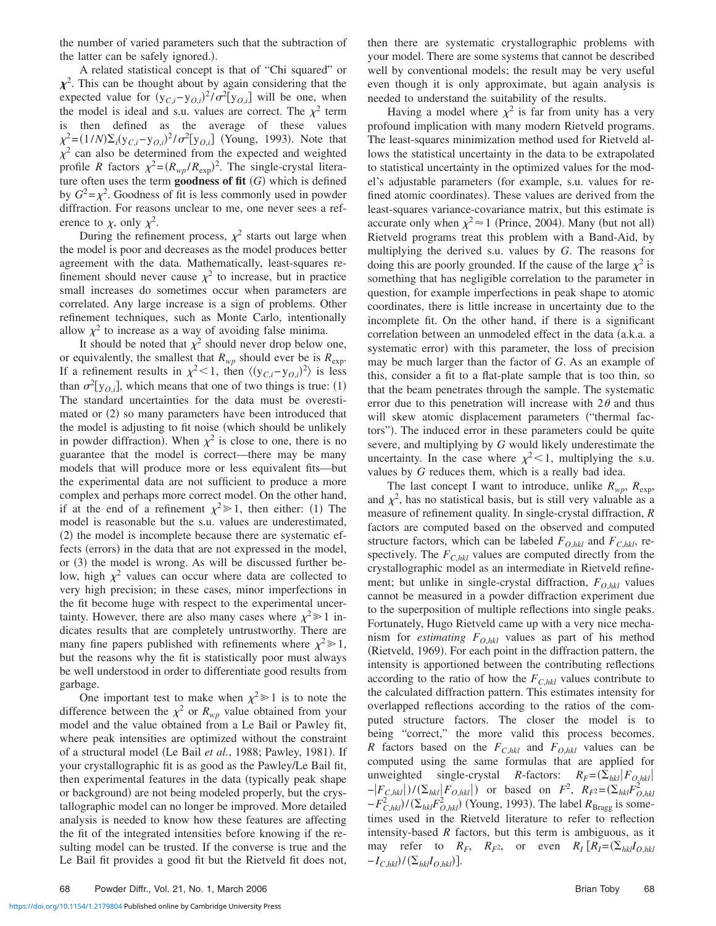the number of varied parameters such that the subtraction of the latter can be safely ignored.).

A related statistical concept is that of "Chi squared" or  $\chi^2$ . This can be thought about by again considering that the expected value for  $(y_{C,i} - y_{O,i})^2 / \sigma^2[y_{O,i}]$  will be one, when the model is ideal and s.u. values are correct. The  $\chi^2$  term is then defined as the average of these values  $\chi^2 = (1/N) \sum_i (y_{C,i} - y_{O,i})^2 / \sigma^2 [y_{O,i}]$  (Young, 1993). Note that  $\chi^2$  can also be determined from the expected and weighted profile *R* factors  $\chi^2 = (R_{wp}/R_{exp})^2$ . The single-crystal literature often uses the term **goodness of fit**  $(G)$  which is defined by  $G^2 = \chi^2$ . Goodness of fit is less commonly used in powder diffraction. For reasons unclear to me, one never sees a reference to  $\chi$ , only  $\chi^2$ .

During the refinement process,  $\chi^2$  starts out large when the model is poor and decreases as the model produces better agreement with the data. Mathematically, least-squares refinement should never cause  $\chi^2$  to increase, but in practice small increases do sometimes occur when parameters are correlated. Any large increase is a sign of problems. Other refinement techniques, such as Monte Carlo, intentionally allow  $\chi^2$  to increase as a way of avoiding false minima.

It should be noted that  $\chi^2$  should never drop below one, or equivalently, the smallest that  $R_{wp}$  should ever be is  $R_{exp}$ . If a refinement results in  $\chi^2$  < 1, then  $\langle (y_{C,i} - y_{O,i})^2 \rangle$  is less than  $\sigma^2[y_{O,i}]$ , which means that one of two things is true: (1) The standard uncertainties for the data must be overestimated or (2) so many parameters have been introduced that the model is adjusting to fit noise (which should be unlikely in powder diffraction). When  $\chi^2$  is close to one, there is no guarantee that the model is correct—there may be many models that will produce more or less equivalent fits—but the experimental data are not sufficient to produce a more complex and perhaps more correct model. On the other hand, if at the end of a refinement  $\chi^2 \gg 1$ , then either: (1) The model is reasonable but the s.u. values are underestimated, (2) the model is incomplete because there are systematic effects (errors) in the data that are not expressed in the model, or (3) the model is wrong. As will be discussed further below, high  $\chi^2$  values can occur where data are collected to very high precision; in these cases, minor imperfections in the fit become huge with respect to the experimental uncertainty. However, there are also many cases where  $\chi^2 \gg 1$  indicates results that are completely untrustworthy. There are many fine papers published with refinements where  $\chi^2 \gg 1$ , but the reasons why the fit is statistically poor must always be well understood in order to differentiate good results from garbage.

One important test to make when  $\chi^2 \gg 1$  is to note the difference between the  $\chi^2$  or  $R_{wp}$  value obtained from your model and the value obtained from a Le Bail or Pawley fit, where peak intensities are optimized without the constraint of a structural model (Le Bail et al., 1988; Pawley, 1981). If your crystallographic fit is as good as the Pawley/Le Bail fit, then experimental features in the data (typically peak shape or background) are not being modeled properly, but the crystallographic model can no longer be improved. More detailed analysis is needed to know how these features are affecting the fit of the integrated intensities before knowing if the resulting model can be trusted. If the converse is true and the Le Bail fit provides a good fit but the Rietveld fit does not,

then there are systematic crystallographic problems with your model. There are some systems that cannot be described well by conventional models; the result may be very useful even though it is only approximate, but again analysis is needed to understand the suitability of the results.

Having a model where  $\chi^2$  is far from unity has a very profound implication with many modern Rietveld programs. The least-squares minimization method used for Rietveld allows the statistical uncertainty in the data to be extrapolated to statistical uncertainty in the optimized values for the model's adjustable parameters (for example, s.u. values for refined atomic coordinates). These values are derived from the least-squares variance-covariance matrix, but this estimate is accurate only when  $\chi^2 \approx 1$  (Prince, 2004). Many (but not all) Rietveld programs treat this problem with a Band-Aid, by multiplying the derived s.u. values by *G*. The reasons for doing this are poorly grounded. If the cause of the large  $\chi^2$  is something that has negligible correlation to the parameter in question, for example imperfections in peak shape to atomic coordinates, there is little increase in uncertainty due to the incomplete fit. On the other hand, if there is a significant correlation between an unmodeled effect in the data (a.k.a. a systematic error) with this parameter, the loss of precision may be much larger than the factor of *G*. As an example of this, consider a fit to a flat-plate sample that is too thin, so that the beam penetrates through the sample. The systematic error due to this penetration will increase with  $2\theta$  and thus will skew atomic displacement parameters ("thermal factors"). The induced error in these parameters could be quite severe, and multiplying by *G* would likely underestimate the uncertainty. In the case where  $\chi^2$  < 1, multiplying the s.u. values by *G* reduces them, which is a really bad idea.

The last concept I want to introduce, unlike  $R_{wp}$ ,  $R_{exp}$ , and  $\chi^2$ , has no statistical basis, but is still very valuable as a measure of refinement quality. In single-crystal diffraction, *R* factors are computed based on the observed and computed structure factors, which can be labeled  $F_{O,hkl}$  and  $F_{Chkl}$ , respectively. The  $F_{Chkl}$  values are computed directly from the crystallographic model as an intermediate in Rietveld refinement; but unlike in single-crystal diffraction,  $F_{O,hkl}$  values cannot be measured in a powder diffraction experiment due to the superposition of multiple reflections into single peaks. Fortunately, Hugo Rietveld came up with a very nice mechanism for *estimating*  $F_{O,hkl}$  values as part of his method (Rietveld, 1969). For each point in the diffraction pattern, the intensity is apportioned between the contributing reflections according to the ratio of how the  $F_{Chkl}$  values contribute to the calculated diffraction pattern. This estimates intensity for overlapped reflections according to the ratios of the computed structure factors. The closer the model is to being "correct," the more valid this process becomes. *R* factors based on the  $F_{C,hkl}$  and  $F_{O,hkl}$  values can be computed using the same formulas that are applied for unweighted single-crystal *R*-factors:  $R_F = \left(\sum_{hkl} |F_{O,hkl}| \right)$  $-F_{C,hkl}|/(\Sigma_{hkl}|F_{O,hkl}|)$  or based on  $F^2$ ,  $R_{F^2}=(\Sigma_{hkl}F_{O,hkl}^2)$  $-F_{C,hkl}^2$ / $(\Sigma_{hkl}F_{O,hkl}^2)$  (Young, 1993). The label  $R_{\text{Bragg}}$  is sometimes used in the Rietveld literature to refer to reflection intensity-based *R* factors, but this term is ambiguous, as it may refer to  $R_F$ ,  $R_F$ <sup>2</sup>, or even  $R_I [R_I = (\sum_{hkl} I_{O,hkl}]$  $-I_{C,hkl}$ )/( $\Sigma_{hkl}I_{O,hkl}$ )].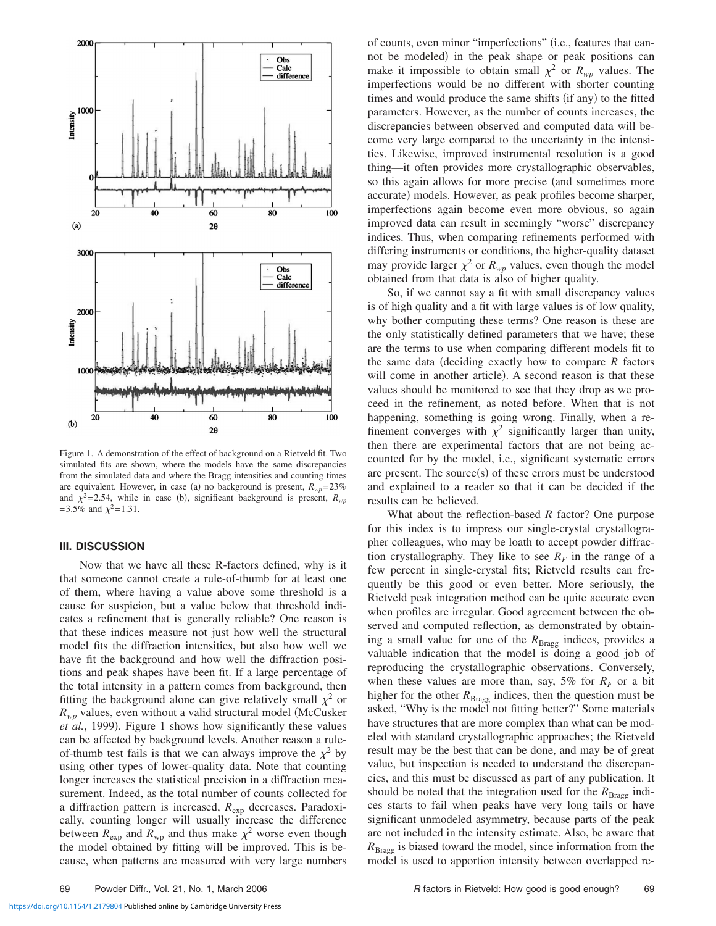

Figure 1. A demonstration of the effect of background on a Rietveld fit. Two simulated fits are shown, where the models have the same discrepancies from the simulated data and where the Bragg intensities and counting times are equivalent. However, in case (a) no background is present,  $R_{wp} = 23\%$ and  $\chi^2$ =2.54, while in case (b), significant background is present,  $R_{wp}$  $= 3.5\%$  and  $\chi^2 = 1.31$ .

## **III. DISCUSSION**

Now that we have all these R-factors defined, why is it that someone cannot create a rule-of-thumb for at least one of them, where having a value above some threshold is a cause for suspicion, but a value below that threshold indicates a refinement that is generally reliable? One reason is that these indices measure not just how well the structural model fits the diffraction intensities, but also how well we have fit the background and how well the diffraction positions and peak shapes have been fit. If a large percentage of the total intensity in a pattern comes from background, then fitting the background alone can give relatively small  $\chi^2$  or  $R_{wp}$  values, even without a valid structural model (McCusker et al., 1999). Figure 1 shows how significantly these values can be affected by background levels. Another reason a ruleof-thumb test fails is that we can always improve the  $\chi^2$  by using other types of lower-quality data. Note that counting longer increases the statistical precision in a diffraction measurement. Indeed, as the total number of counts collected for a diffraction pattern is increased,  $R_{exp}$  decreases. Paradoxically, counting longer will usually increase the difference between  $R_{\text{exp}}$  and  $R_{\text{wp}}$  and thus make  $\chi^2$  worse even though the model obtained by fitting will be improved. This is because, when patterns are measured with very large numbers

of counts, even minor "imperfections" (i.e., features that cannot be modeled) in the peak shape or peak positions can make it impossible to obtain small  $\chi^2$  or  $R_{wp}$  values. The imperfections would be no different with shorter counting times and would produce the same shifts (if any) to the fitted parameters. However, as the number of counts increases, the discrepancies between observed and computed data will become very large compared to the uncertainty in the intensities. Likewise, improved instrumental resolution is a good thing—it often provides more crystallographic observables, so this again allows for more precise (and sometimes more accurate) models. However, as peak profiles become sharper, imperfections again become even more obvious, so again improved data can result in seemingly "worse" discrepancy indices. Thus, when comparing refinements performed with differing instruments or conditions, the higher-quality dataset may provide larger  $\chi^2$  or  $R_{wp}$  values, even though the model obtained from that data is also of higher quality.

So, if we cannot say a fit with small discrepancy values is of high quality and a fit with large values is of low quality, why bother computing these terms? One reason is these are the only statistically defined parameters that we have; these are the terms to use when comparing different models fit to the same data deciding exactly how to compare *R* factors will come in another article). A second reason is that these values should be monitored to see that they drop as we proceed in the refinement, as noted before. When that is not happening, something is going wrong. Finally, when a refinement converges with  $\chi^2$  significantly larger than unity, then there are experimental factors that are not being accounted for by the model, i.e., significant systematic errors are present. The source(s) of these errors must be understood and explained to a reader so that it can be decided if the results can be believed.

What about the reflection-based *R* factor? One purpose for this index is to impress our single-crystal crystallographer colleagues, who may be loath to accept powder diffraction crystallography. They like to see  $R_F$  in the range of a few percent in single-crystal fits; Rietveld results can frequently be this good or even better. More seriously, the Rietveld peak integration method can be quite accurate even when profiles are irregular. Good agreement between the observed and computed reflection, as demonstrated by obtaining a small value for one of the  $R_{\text{Bragg}}$  indices, provides a valuable indication that the model is doing a good job of reproducing the crystallographic observations. Conversely, when these values are more than, say,  $5\%$  for  $R_F$  or a bit higher for the other  $R_{\text{Bragg}}$  indices, then the question must be asked, "Why is the model not fitting better?" Some materials have structures that are more complex than what can be modeled with standard crystallographic approaches; the Rietveld result may be the best that can be done, and may be of great value, but inspection is needed to understand the discrepancies, and this must be discussed as part of any publication. It should be noted that the integration used for the  $R_{\text{Bragg}}$  indices starts to fail when peaks have very long tails or have significant unmodeled asymmetry, because parts of the peak are not included in the intensity estimate. Also, be aware that  $R_{\text{Braeg}}$  is biased toward the model, since information from the model is used to apportion intensity between overlapped re